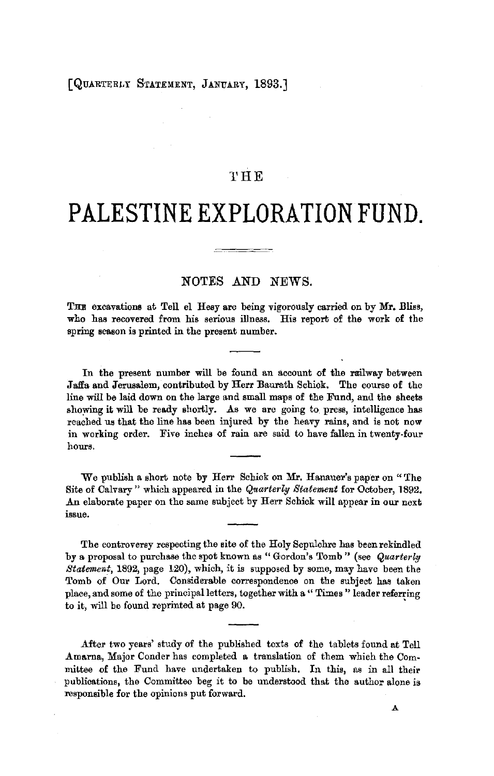## **THE**

## **PALESTINE EXPLORATION FUND.**

## NOTES AND NEWS.

THE excavations at Tell el Hesy are being vigorously carried on by Mr. Bliss, who has recovered from his serious illness. His report of the work of the spring season is printed in the present number.

In the present number will be found an account of the railway between Jaffa and Jerusalem, contributed by Herr Baurath Schick. The course of the line will be laid down on the large and small maps of the Fund, and the sheets showing it will be ready shortly. As we are going to press, intelligence has reached us that the line has been injured by the heavy rains, and is not now in working order. Five inches of rain are said to have fallen in twenty-four hours.

We publish a short note by Herr Schick on Mr. Hanauer's paper on "The Site of Calvary" which appeared in the *Quarterly Statement* for October, 1892. An elaborate paper on the same subject by Herr Schick will appear in our next issue.

The controversy respecting the site of the Holy Sepulchre has been rekindled by a proposal to purchase the spot known as "Gordon's Tomb" (see *Quarterly Statement,* 1892, page 120), which, it is supposed by some, may have been the Tomb of Our Lord. Considerable correspondence on the subject has taken place, and some of the principal letters, together with a" Times" leader referring to it, will be found reprinted at page 90. •

.After two years' study of the published texts of the tablets found at Tell **.A.mn.rna,** Major Conder has completed a translation of them which the Committee of the Fund have undertaken to publish. In this, as in all their publications, the Committee beg it to be understood that the author alone is responsible for the opinions put forward.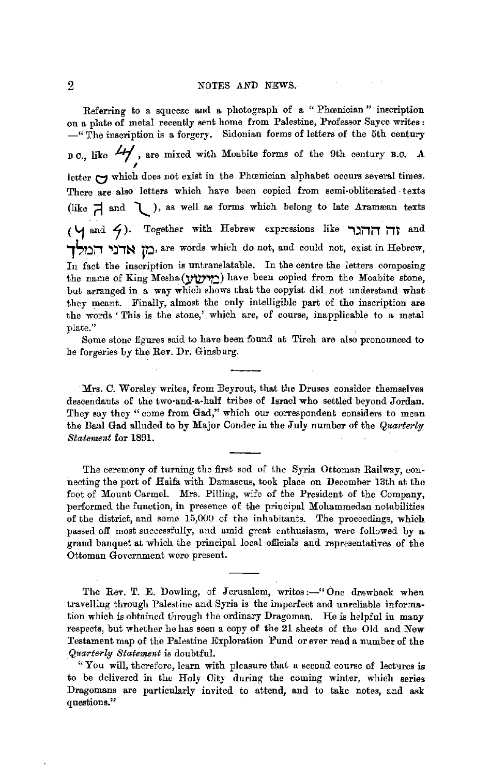Referring to a squeeze and a photograph of a " Phomician" inscription on a plate of metal recently sent home from Palestine, Professor Sayce writes :  $-\text{``The insertion is a forgery. Sidonian forms of letters of the 5th century}$ B.C., like  $4/$ , are mixed with Moabite forms of the 9th century B.C. A letter  $\mapsto$  which does not exist in the Phœnician alphabet occurs several times. There are also letters which have been copied from semi-obliterated texts (like  $\overrightarrow{A}$  and  $\overrightarrow{V}$  ), as well as forms which belong to late Aramæan texts ( **'1** and **Lj** ). Together with Hebrew expressions like **"'l:liTiT iT?** and **1StiiT ,:i,~ ltl,** a:re words which do not, and could not, exist in Hebrew, In fact the inscription is untranslatable. In the centre the letters composing the name of King Mesha (מוינטע) have been copied from the Moabite stone, but arranged in a way which shows that the copyist did not understand what they meant. Finally, almost the only intelligible part of the inscription are the words ' This is the stone,' which are, of course, inapplicable to a matal plate."

Some stone figures said to have been found at Tireh are also pronounced to he forgeries by the Rev. Dr. Ginsburg.

Mrs. C. Worsley writes, from Beyrout, that the Druses consider themselves descendants of the two•and-a•half tribes of Israel who settled beyond Jordan. They say they " come from Gad," which our correspondent considers to mean the Baal Gad alluded to by Major Conder in the July number of the *Quarterly Statement* for 1891. ·

The ceremony of turning the first sod of the Syria Ottoman Railway, connecting the port of Haifa with Damascus, took place on December 13th at the foot of Mount Carmel. Mrs. Pilling, wife of the President of the Company, performed the function, in presence of the principal Mohammedan notabilities of the district, and some 15,000 of the inhabitants. The proceedings, which passed off most successfully, and amid great enthusiasm, were followed by a grand banquet at which the principal local officials and representatives of the Ottoman Government were present.

The Rev. T. E. Dowling, of Jerusalem, writes:-"One drawback when travelling through Palestine and Syria is the imperfect and unreliable information which is obtained through the ordinary Dragoman. He is helpful in many respects, but whether he has seen a copy of the 21 sheets of the Old and New Testament map of the Palestine Exploration Fund or ever read a number of the *Quarte.-ly Statement* is doubtful.

"You will, therefore, learn with pleasure that a second course of lectures is to be delivered in the Holy City during the coming winter, which series Dragomans are particularly invited to attend, and to take notes, and ask questions."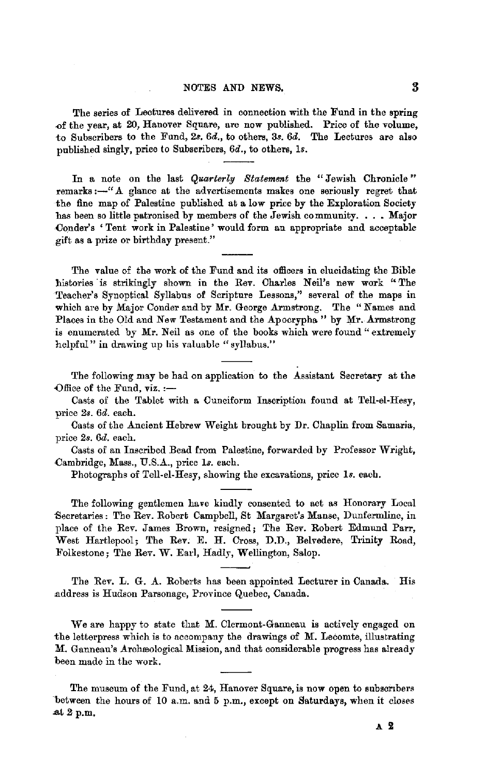## NOTES AND **NEWS.** 3

The series of Lectures delivered in connection with the Fund in the spring of the year, at 20, Hanover Square, are now published. Price of the volume, to Subscribers to the Fund, 2s. *6d.,* to others, 3s. *6d.* The Lectures are also published singly, price lo Subscribers, *6d.,* to others, ls.

In a note on the last *Quarterly Statement* the "Jewish Chronicle" remarks:-"A glance at the advertisements makes one seriously regret that the fine map of Palestine published at a low price by the Exploration Society has been so little patronised by members of the Jewish community.  $\ldots$  Major Conder's 'Tent work in Palestine' would form an appropriate and acceptable gift as a prize or birthday present."

The value of the work of the Fund and its officers in elucidating the Bible histories is strikingly shown in the Rev. Charles Neil's new work "The Teacher's Synoptical Syllabus of Scripture Lessons," several of the maps in which are by Major Conder and by Mr. George Armstrong. The " Names and Places in the Old and New Testament and the Apocrypha" by Mr. Armstrong is enumerated by Mr. Neil as one of the books which were found "extremely helpful" in drawing up his valuable "syllabus."

The following may be had on application to the Assistant Secretary at the Office of the Fund,  $\mathbf{v}$ iz. :-

Casts of the Tablet with a Cuneiform Inscription found at Tell-el-Hesy, price *2s. 6d.* each.

Casts of the Ancient Hebrew Weight brought by Dr. Chaplin from Samaria, price *2s. 6d.* each.

Casts of an Inscribed Bead from Palestine, forwarded by Professor Wright, Cambridge, Mass., U.S.A., price ls. each.

Photographs of Tell-el-Hesy, showing the excavations, price ls. each.

The following gentlemen have kindly consented to act as Honorary Local -Secretaries: The Rev. Robert Campbell, St Margaret's Manse, Dunfermline, in place of the Rev. James Brown, resigned; The Rev. Robert Edmund Parr, West Hartlepool; The Rev. E. H. Cross, D.D., Belvedere, Trinity Road, Folkestone; The Rev. W. Earl, Hadly, Wellington, Salop.

The Rev. L. G. A. Roberts has been appointed Lecturer in Canada. His caddress is Hudson Parsonage, Province Quebec, Canada.

We are happy to state that M. Olermont-Ganneau is actively engaged on the letterpress which is to accompany the drawings of M. Lecomte, illustrating **M.** Gannean's Arehreological Mission, and that considerable progress has already been made in the work.

The museum of the Fund, at 24, Hanover Square, is now open to subscribers between the hours of 10 a.m. and 5 p.m., except on Saturdays, when it closes at  $2$  p.m.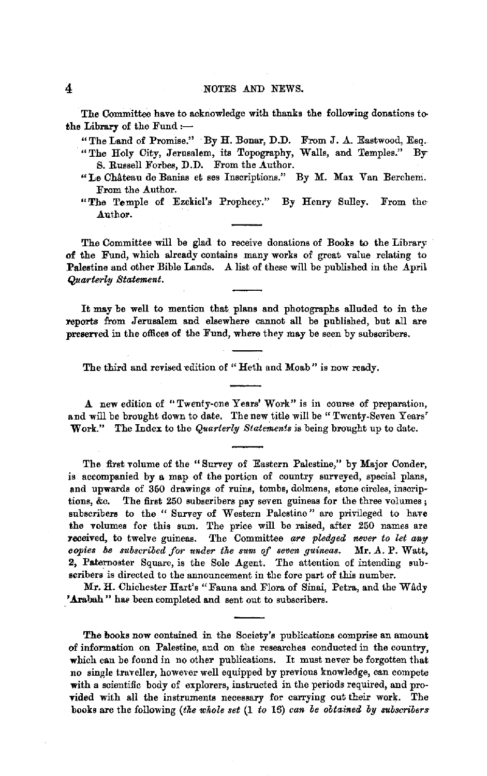'Ihe Committee have to acknowledge with thanks the following donations tothe Library of the Fund  $:$ 

"The Land of Promise." By H. Bonar, D.D. From J. A. Eastwood, Esq.

- "The Holy City, Jerusalem, its Topography, Walls, and Temples." By S. Russell Forbes, D.D. From the Author.
- "Le ChAteau de Banias et ses Inscriptions." By M. Max Van Berchem. From the Author.
- "The Temple of Ezekiel's Prophecy." By Henry Sulley. From the Author.

The Committee will be glad to receive donations of Books to the Library **of** the Fund, which already contains many works of great value relating to **.Palestine** and other Bible Lands. A list of these will be published in the April  $Quarterlu$  *Statement.* 

It may be well to mention that plans and photographs alluded to in the reports from Jerusalem and elsewhere cannot all be published, but all are preserved in the offices of the Fund, where they may be seen by subscribers.

The third and revised edition of "Heth and Moab" is now ready.

A new edition of "Twenty-one Years' Work" is in course of preparation, and will be brought down to date. The new title will be "Twenty-Seven Years' Work." The Index to the *Quarterly Statements* is being brought up to date.

The first volume of the "Survey of Eastern Palestine," by Major Conder, is accompanied by a map of the portion of country surveyed, special plans, and upwards of 350 drawings of ruins, tombs, dolmens, stone circles, inscriptions, &c. The first 250 subscribers pay seven guineas for the three volumes ; subscribers to the "Survey of Western Palestine" are privileged to have the volumes for this sum. The price will be raised, after 250 names are received, to twelve guineas. The Committee are pledged never to let any *copies be subscribed for under the sum of seven guineas.* Mr. A. P. Watt, 2, Paternoster Square, is the Sole Agent. The attention of intending subscribers is directed to the announcement in the fore part of this number.

Mr. H. Chichester Hart's "Fauna and Flora of Sinai, Petra, and the Wady 'Arabah" has been completed and sent out to subscribers.

The books now contained in the Society's publications comprise an amount of information on Palestine, and on the researches conducted in the country, which can be found in no other publications. It must never be forgotten that no single traveller, however well equipped by previous knowledge, can compete with a scientific body of explorers, instructed in the periods required, and provided with all the instruments necessary for carrying out their work. The books are the following *(tke whole set* (1 *to* 16) *can be obtained by &Ubscribers*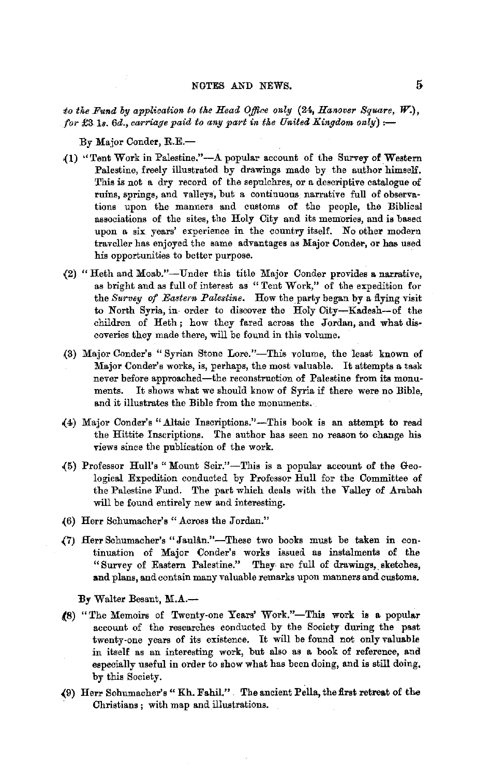*to the Fund by application to the Head Office only (24, Hanover Square, W.), for* £3 *Is.* 6d., carriage paid to any part in the United Kingdom only):-

By Major Conder, R.E.-

- {l) ''Tent Work in Palestine."-A popular account of the Survey of Western Palestine, freely illustrated by drawings made by the suthor himself. This is not a dry record of the sepulchres, or a descriptive catalogue of ruins, springs, and valleys, but a continuous narrative full of observa• tions upon the manners and customs of the people, the Biblical associations of the sites, the Holy City and its memories, and is based upon a six years' experience in the country itself. No other modern traveller has enjoyed the same advantages as Major Conder, or has used his opportunities to better purpose.
- {2) "Heth and Moab."-Under this title Major Conder provides a. narrative, as bright and as full of interest as "Tent Work," of the expedition for the *Survey of Eastern Palestine*. How the party began by a flying visit to North Syria, in- order to discover the Holy City-Kadesh-of the children of Heth ; how they fared across the Jordan, and what dis· coveries they made there, will be found in this volume.
- (3) Major Conder's "Syrian Stone Lore."-This volume, the least known of Major Conder's works, is, perhaps, the most valuable. It attempts a task never before approached-the reconstruction of Palestine from its monuments. It shows what we should know of Syria if there were no Bible, and it illustrates the Bible from the monuments.
- .(4) Major Conder's "Altaic lnscriptions."-This book is an attempt to read the Hittite Inscriptions. The author has seen no reason to change his views since the publication of the work.
- {5) Professor Hull's "Mount Seir."-This is a popular account of the Geological Expedition conducted by Professor Hull for the Committee of the Palestine Fund. The part which deals with the Valley of Arabah will be found entirely new and interesting.
- (6) Herr Schumacher's " Across the Jordan."
- {7) Herr Schumacher's "Jaulan."-These two books must be taken in continuation of Major Conder's works issued as instalments of the "Survey of Eastern Palestine." They are full of drawings, sketches, **and** plans, and contain many valuable remarks upon manners and customs.

**:By** Walter Besant, **M.A.-**

- **l8)** "The Memoirs of Twenty-one Years' Work."-This work is a popular account of the researches conducted by the Society during the past twenty-one years of its existence. It will be found not only valuable in itself as an interesting work, but also as a book of reference, and especially useful in order to show what has been doing, and is still doing. by this Society.
- (9) Herr Schumacher's "Kh. Fahil." The ancient Pella, the first retreat of the Christians ; with map and illustrations.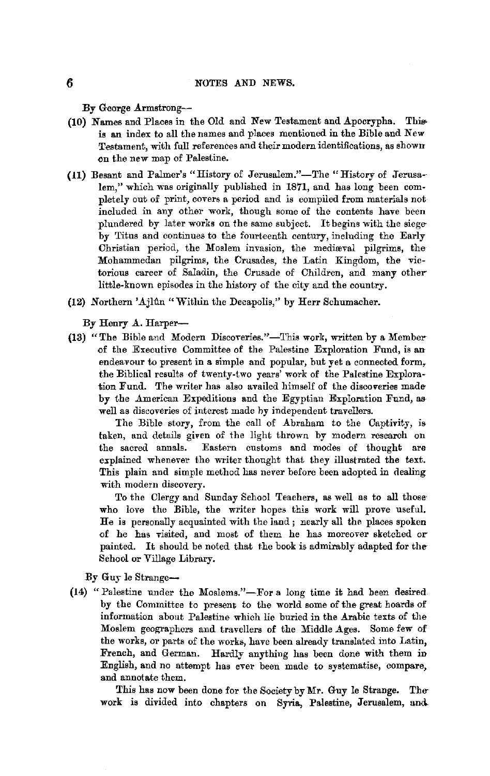By George Armstrong--

- (10) Names and Places in the Old and New Testament and Apocrypha. This is an index to all the names and places mentioned in the Bible and New Testament, with full references and their modern identifications, as shown on the new map 0£ Palestine.
- (11) Besant and Palmer's "History of Jerusalem."-The "History of Jerusa-lem," which was originally published in 1871, and has long been completely out of print, covers a period and is compiled from materials not included in any ether work, though some of the contents have been plundered by later works on the same subject. It begins with the siegeby Titus and continues to the fourteenth century, including the Early Christian period, the Moslem invasion, the mediaval pilgrims, the Mohammedan pilgrims, the Crusades, the Latin Kingdom, the victorious career of Saladin, the Crusade of Children, and many other little-known episodes in the history 0£ the city and the country.
- (12) Northern 'Ailûn "Within the Decapolis," by Herr Schumacher.

By Henry A. Harper-

(13) "The Bible and Modern Discoveries."-This work, written by a Member of the Executive Committee of the Palestine Exploration Fund, is an endeavour to present in a simple and popular, but yet a connected form, the Biblical results of twenty-two years' work of the Palestine Exploration Fund. The writer has also availed himself of the discoveries madeby the American Expeditions and the Egyptian Exploration Fund, as well as discoveries of interest made hy independent travellers.

The Bible story, from the call of Abraham to the Captivity, is taken, and details given of the light thrown by modern research on the sacred annals. Eastern customs and modes of thought are explained whenever the writer thought that they illustrated the text. This plain and simple method has never before been adopted in dealing with modern discovery.

To the Clergy and Sunday School Teachers, as well as to all those· who love the Bible, the writer hopes this work will prove useful. He is personally acquainted with the land ; nearly all the places spoken of he has visited, and most of them he has moreover sketched or painted. It should be noted that the book is admirably adapted for the-School or Village Library.

By Guy le Strange-

**(14)** "Palestine under the Moslems."-For a long time it had been desired by the Committee to present to the world some of the great hoards of information about Palestine which lie buried in the Arabic texts of the Moslem geographers and travellers of the Middle Ages. Some few of the works, or parts of the works, have been already translated into Latin, French, and German. Hardly anything has been done with them in English, and no attempt has ever been made to systematise, compare, and annotate them.

This has now been done for the Society by Mr. Guy le Strange. The work is divided into chapters on Syria, Palestine, Jerusalem, and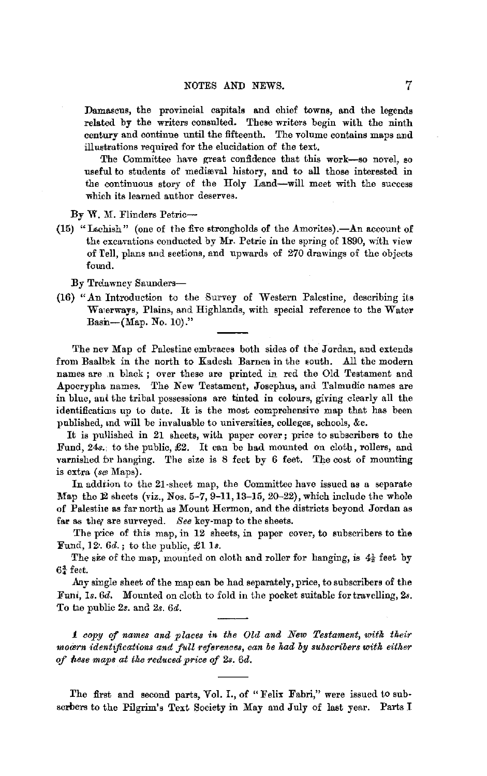Damascus, the provincial capitals and chief towns, and the legends related by the writers consuJted. These writers begin with the ninth century and continue until the fifteenth. The volume contains maps and illustrations required for the elucidation of the text.

The Committee have great confidence that this work-so novel, so useful to students of medimval history, and to all those interested in the continuous story of the Holy Land-will meet with the success which its learned author deserves.

By W. M. Flinders Petric-

(15) "Lachish" (one of the five strongholds of the Amorites). $-An$  account of the excavations conducted by Mr. Petrie in the spring of 1890, with view of Tell, plans and sections, and upwards of 270 drawings of the objects found.

By Trelawney Saunders-

(16) "An Introduction to the Survey of Western Palestine, describing its Wa1erways, Plains, and Highlands, with special reference to the Water Basn- $(Map. No. 10)$ ."

The nev Map of Palestine embraces both sides of the Jordan, and extends from Baalbek in the north to Kadesh Barnea in the south. All the modern names are n black; over these are printed in red the Old Testament and Apocrypha names. The New Testament, Josephus, and Talmudic names are in blue, and the tribal possessions are tinted in colours, giving clearly all the identifications up to date. It is the most comprehensive map that has been published, md will be invaluable to universities, colleges, schools, &c.

It is pullished in 21 sheets, with paper cover; price to subscribers to the Fund, 24s.; to the public, £2. It can be had mounted on cloth, rollers, and varnished br hanging. The size is 8 feet by 6 feet. The cost of mounting is extra (se Maps).

In addiion to the 21-sheet map, the Committee have issued as a separate Map the 12 sheets (viz., Nos. 5-7, 9-11, 13-15, 20-22), which include the whole of Palestiie as far north us Mount Hermon, and the districts beyond Jordan as far as ther are surveyed. *See* key-map to the sheets.

The pice of this map, in 12 sheets, in paper cover, to subscribers to the Fund, 12,  $6d.$ ; to the public,  $\pounds 1$  ls.

The sze of the map, mounted on cloth and roller for hanging, is  $4\frac{1}{2}$  feet by  $6\frac{3}{4}$  feet.

.Any single sheet of the map can be had separately, price, to subscribers of the Funl, *Is. 6d.* Mounted on cloth to fold in the pocket suitable for travelling, *2s.*  To tie public *2s.* and *2s. 6d.* 

*1 copy* ef *names and places in the Old and New Testament, with their moawn identifications and full references, can be had by subscribers with either of ftese maps at the reduced price of 2s. 6d.* 

The first and second parts, Vol. I., of "Felix Fabri," were issued to subscrbers to the Pilgrim's Text Society in May and July of last year. Parts I